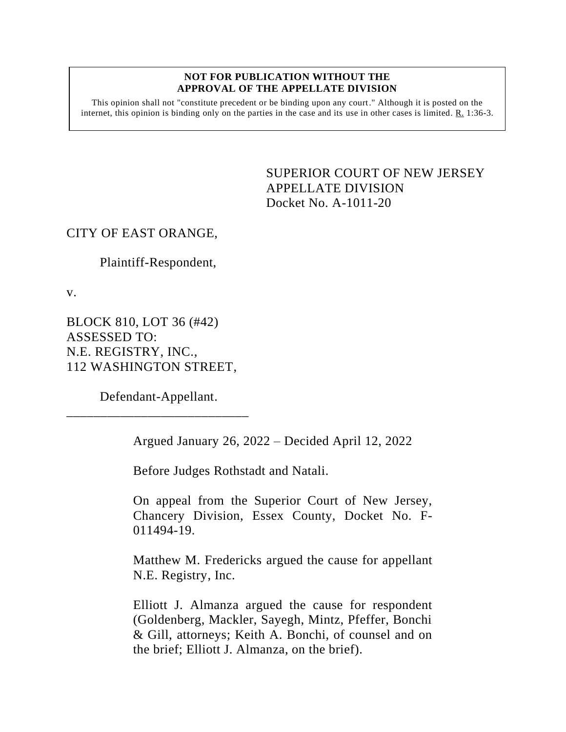#### **NOT FOR PUBLICATION WITHOUT THE APPROVAL OF THE APPELLATE DIVISION**

This opinion shall not "constitute precedent or be binding upon any court." Although it is posted on the internet, this opinion is binding only on the parties in the case and its use in other cases is limited.  $R_1$  1:36-3.

> SUPERIOR COURT OF NEW JERSEY APPELLATE DIVISION Docket No. A-1011-20

# CITY OF EAST ORANGE,

Plaintiff-Respondent,

v.

BLOCK 810, LOT 36 (#42) ASSESSED TO: N.E. REGISTRY, INC., 112 WASHINGTON STREET,

Defendant-Appellant. \_\_\_\_\_\_\_\_\_\_\_\_\_\_\_\_\_\_\_\_\_\_\_\_\_\_\_

Argued January 26, 2022 – Decided April 12, 2022

Before Judges Rothstadt and Natali.

On appeal from the Superior Court of New Jersey, Chancery Division, Essex County, Docket No. F-011494-19.

Matthew M. Fredericks argued the cause for appellant N.E. Registry, Inc.

Elliott J. Almanza argued the cause for respondent (Goldenberg, Mackler, Sayegh, Mintz, Pfeffer, Bonchi & Gill, attorneys; Keith A. Bonchi, of counsel and on the brief; Elliott J. Almanza, on the brief).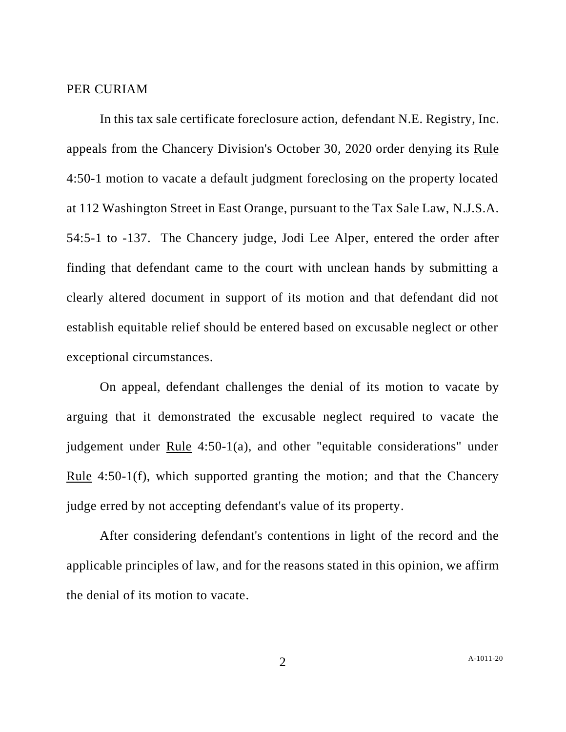#### PER CURIAM

In this tax sale certificate foreclosure action, defendant N.E. Registry, Inc. appeals from the Chancery Division's October 30, 2020 order denying its Rule 4:50-1 motion to vacate a default judgment foreclosing on the property located at 112 Washington Street in East Orange, pursuant to the Tax Sale Law, N.J.S.A. 54:5-1 to -137. The Chancery judge, Jodi Lee Alper, entered the order after finding that defendant came to the court with unclean hands by submitting a clearly altered document in support of its motion and that defendant did not establish equitable relief should be entered based on excusable neglect or other exceptional circumstances.

On appeal, defendant challenges the denial of its motion to vacate by arguing that it demonstrated the excusable neglect required to vacate the judgement under Rule 4:50-1(a), and other "equitable considerations" under Rule 4:50-1(f), which supported granting the motion; and that the Chancery judge erred by not accepting defendant's value of its property.

After considering defendant's contentions in light of the record and the applicable principles of law, and for the reasons stated in this opinion, we affirm the denial of its motion to vacate.

2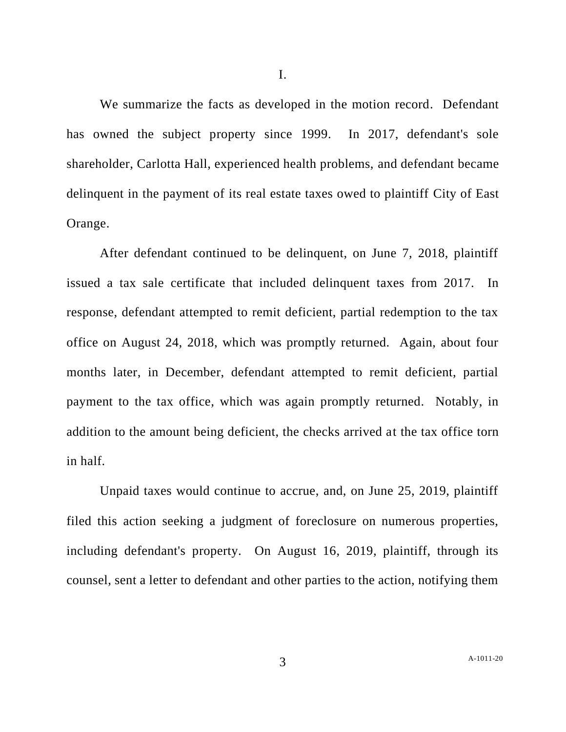We summarize the facts as developed in the motion record. Defendant has owned the subject property since 1999. In 2017, defendant's sole shareholder, Carlotta Hall, experienced health problems, and defendant became delinquent in the payment of its real estate taxes owed to plaintiff City of East Orange.

After defendant continued to be delinquent, on June 7, 2018, plaintiff issued a tax sale certificate that included delinquent taxes from 2017. In response, defendant attempted to remit deficient, partial redemption to the tax office on August 24, 2018, which was promptly returned. Again, about four months later, in December, defendant attempted to remit deficient, partial payment to the tax office, which was again promptly returned. Notably, in addition to the amount being deficient, the checks arrived at the tax office torn in half.

Unpaid taxes would continue to accrue, and, on June 25, 2019, plaintiff filed this action seeking a judgment of foreclosure on numerous properties, including defendant's property. On August 16, 2019, plaintiff, through its counsel, sent a letter to defendant and other parties to the action, notifying them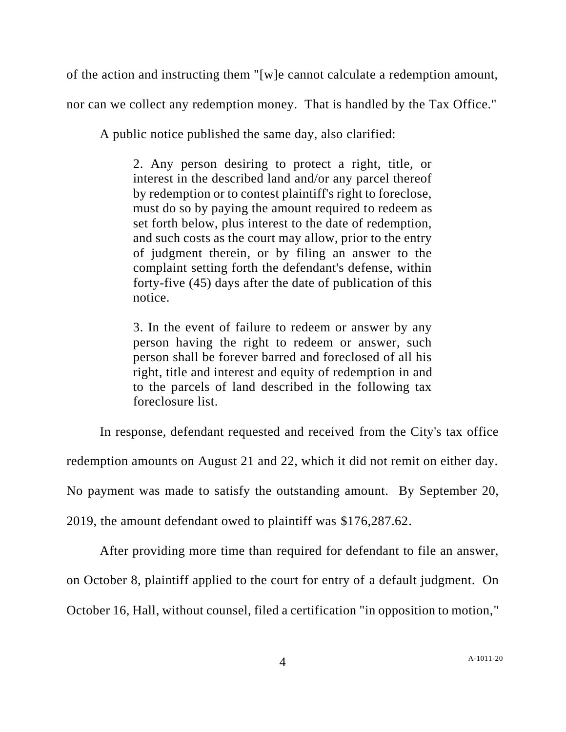of the action and instructing them "[w]e cannot calculate a redemption amount,

nor can we collect any redemption money. That is handled by the Tax Office."

A public notice published the same day, also clarified:

2. Any person desiring to protect a right, title, or interest in the described land and/or any parcel thereof by redemption or to contest plaintiff's right to foreclose, must do so by paying the amount required to redeem as set forth below, plus interest to the date of redemption, and such costs as the court may allow, prior to the entry of judgment therein, or by filing an answer to the complaint setting forth the defendant's defense, within forty-five (45) days after the date of publication of this notice.

3. In the event of failure to redeem or answer by any person having the right to redeem or answer, such person shall be forever barred and foreclosed of all his right, title and interest and equity of redemption in and to the parcels of land described in the following tax foreclosure list.

In response, defendant requested and received from the City's tax office redemption amounts on August 21 and 22, which it did not remit on either day. No payment was made to satisfy the outstanding amount. By September 20, 2019, the amount defendant owed to plaintiff was \$176,287.62.

After providing more time than required for defendant to file an answer, on October 8, plaintiff applied to the court for entry of a default judgment. On October 16, Hall, without counsel, filed a certification "in opposition to motion,"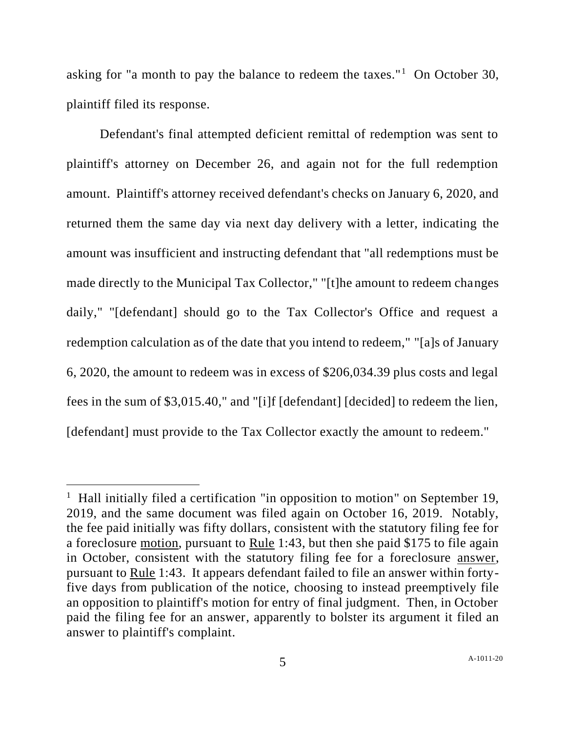asking for "a month to pay the balance to redeem the taxes."<sup>1</sup> On October 30, plaintiff filed its response.

Defendant's final attempted deficient remittal of redemption was sent to plaintiff's attorney on December 26, and again not for the full redemption amount. Plaintiff's attorney received defendant's checks on January 6, 2020, and returned them the same day via next day delivery with a letter, indicating the amount was insufficient and instructing defendant that "all redemptions must be made directly to the Municipal Tax Collector," "[t]he amount to redeem changes daily," "[defendant] should go to the Tax Collector's Office and request a redemption calculation as of the date that you intend to redeem," "[a]s of January 6, 2020, the amount to redeem was in excess of \$206,034.39 plus costs and legal fees in the sum of \$3,015.40," and "[i]f [defendant] [decided] to redeem the lien, [defendant] must provide to the Tax Collector exactly the amount to redeem."

<sup>&</sup>lt;sup>1</sup> Hall initially filed a certification "in opposition to motion" on September 19, 2019, and the same document was filed again on October 16, 2019. Notably, the fee paid initially was fifty dollars, consistent with the statutory filing fee for a foreclosure motion, pursuant to Rule 1:43, but then she paid \$175 to file again in October, consistent with the statutory filing fee for a foreclosure answer, pursuant to Rule 1:43. It appears defendant failed to file an answer within fortyfive days from publication of the notice, choosing to instead preemptively file an opposition to plaintiff's motion for entry of final judgment. Then, in October paid the filing fee for an answer, apparently to bolster its argument it filed an answer to plaintiff's complaint.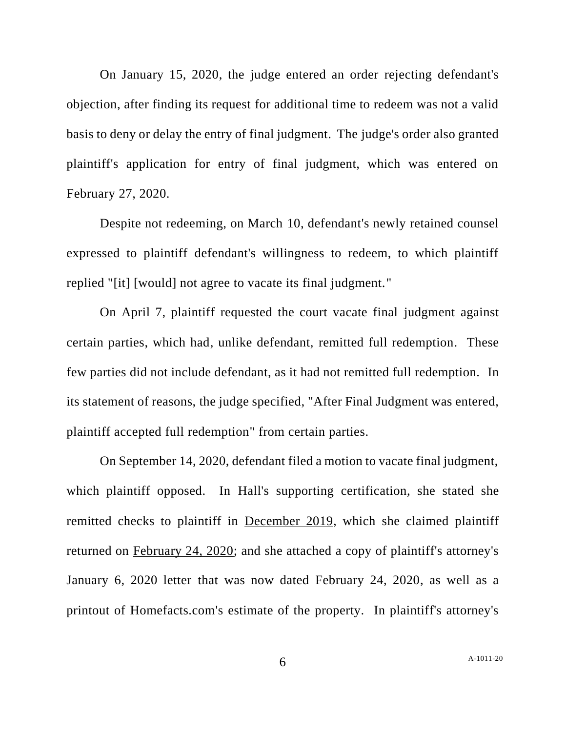On January 15, 2020, the judge entered an order rejecting defendant's objection, after finding its request for additional time to redeem was not a valid basis to deny or delay the entry of final judgment. The judge's order also granted plaintiff's application for entry of final judgment, which was entered on February 27, 2020.

Despite not redeeming, on March 10, defendant's newly retained counsel expressed to plaintiff defendant's willingness to redeem, to which plaintiff replied "[it] [would] not agree to vacate its final judgment."

On April 7, plaintiff requested the court vacate final judgment against certain parties, which had, unlike defendant, remitted full redemption. These few parties did not include defendant, as it had not remitted full redemption. In its statement of reasons, the judge specified, "After Final Judgment was entered, plaintiff accepted full redemption" from certain parties.

On September 14, 2020, defendant filed a motion to vacate final judgment, which plaintiff opposed. In Hall's supporting certification, she stated she remitted checks to plaintiff in December 2019, which she claimed plaintiff returned on February 24, 2020; and she attached a copy of plaintiff's attorney's January 6, 2020 letter that was now dated February 24, 2020, as well as a printout of Homefacts.com's estimate of the property. In plaintiff's attorney's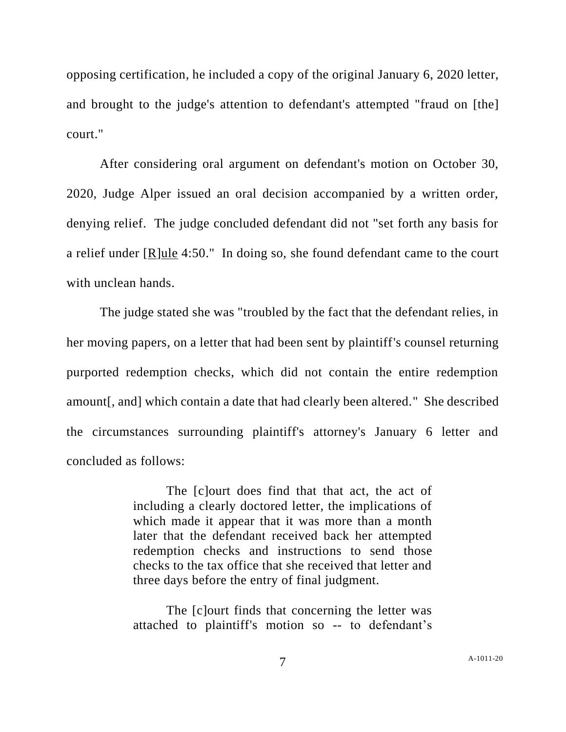opposing certification, he included a copy of the original January 6, 2020 letter, and brought to the judge's attention to defendant's attempted "fraud on [the] court."

After considering oral argument on defendant's motion on October 30, 2020, Judge Alper issued an oral decision accompanied by a written order, denying relief. The judge concluded defendant did not "set forth any basis for a relief under  $[R]$ ule 4:50." In doing so, she found defendant came to the court with unclean hands.

The judge stated she was "troubled by the fact that the defendant relies, in her moving papers, on a letter that had been sent by plaintiff's counsel returning purported redemption checks, which did not contain the entire redemption amount[, and] which contain a date that had clearly been altered." She described the circumstances surrounding plaintiff's attorney's January 6 letter and concluded as follows:

> The [c]ourt does find that that act, the act of including a clearly doctored letter, the implications of which made it appear that it was more than a month later that the defendant received back her attempted redemption checks and instructions to send those checks to the tax office that she received that letter and three days before the entry of final judgment.

> The [c]ourt finds that concerning the letter was attached to plaintiff's motion so -- to defendant's

7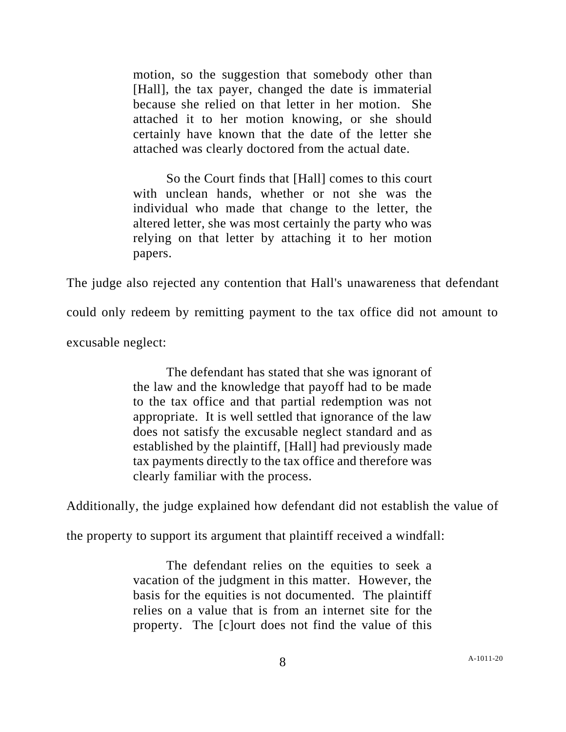motion, so the suggestion that somebody other than [Hall], the tax payer, changed the date is immaterial because she relied on that letter in her motion. She attached it to her motion knowing, or she should certainly have known that the date of the letter she attached was clearly doctored from the actual date.

So the Court finds that [Hall] comes to this court with unclean hands, whether or not she was the individual who made that change to the letter, the altered letter, she was most certainly the party who was relying on that letter by attaching it to her motion papers.

The judge also rejected any contention that Hall's unawareness that defendant

could only redeem by remitting payment to the tax office did not amount to

excusable neglect:

The defendant has stated that she was ignorant of the law and the knowledge that payoff had to be made to the tax office and that partial redemption was not appropriate. It is well settled that ignorance of the law does not satisfy the excusable neglect standard and as established by the plaintiff, [Hall] had previously made tax payments directly to the tax office and therefore was clearly familiar with the process.

Additionally, the judge explained how defendant did not establish the value of

the property to support its argument that plaintiff received a windfall:

The defendant relies on the equities to seek a vacation of the judgment in this matter. However, the basis for the equities is not documented. The plaintiff relies on a value that is from an internet site for the property. The [c]ourt does not find the value of this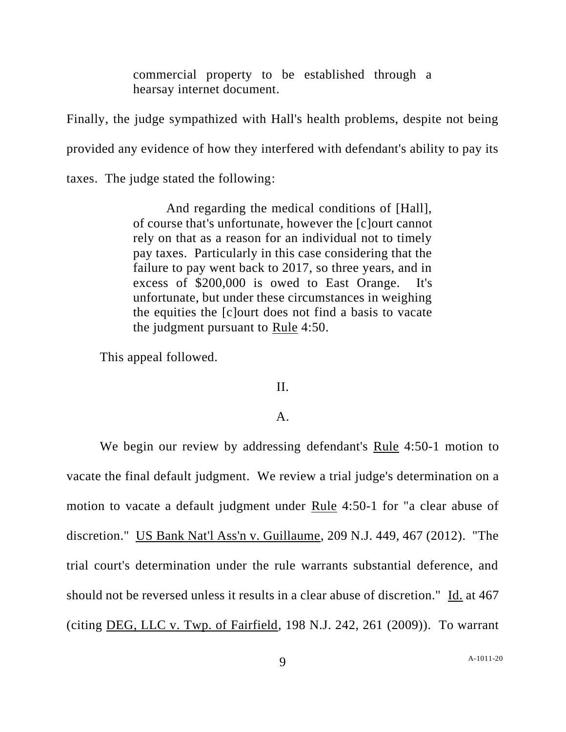commercial property to be established through a hearsay internet document.

Finally, the judge sympathized with Hall's health problems, despite not being provided any evidence of how they interfered with defendant's ability to pay its taxes. The judge stated the following:

And regarding the medical conditions of [Hall], of course that's unfortunate, however the [c]ourt cannot

rely on that as a reason for an individual not to timely pay taxes. Particularly in this case considering that the failure to pay went back to 2017, so three years, and in excess of \$200,000 is owed to East Orange. It's unfortunate, but under these circumstances in weighing the equities the [c]ourt does not find a basis to vacate the judgment pursuant to Rule 4:50.

This appeal followed.

### II.

### A.

We begin our review by addressing defendant's Rule 4:50-1 motion to vacate the final default judgment. We review a trial judge's determination on a motion to vacate a default judgment under Rule 4:50-1 for "a clear abuse of discretion." US Bank Nat'l Ass'n v. Guillaume, 209 N.J. 449, 467 (2012). "The trial court's determination under the rule warrants substantial deference, and should not be reversed unless it results in a clear abuse of discretion." Id. at 467 (citing DEG, LLC v. Twp. of Fairfield, 198 N.J. 242, 261 (2009)). To warrant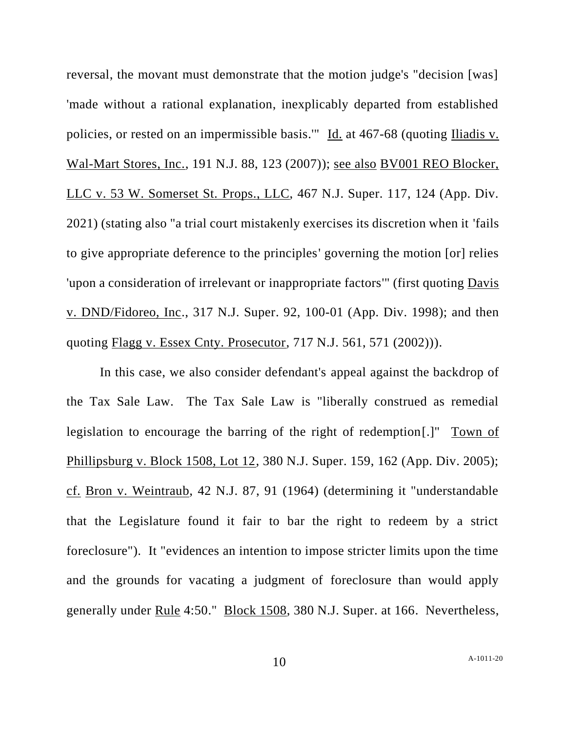reversal, the movant must demonstrate that the motion judge's "decision [was] 'made without a rational explanation, inexplicably departed from established policies, or rested on an impermissible basis.'" Id. at 467-68 (quoting Iliadis v. Wal-Mart Stores, Inc., 191 N.J. 88, 123 (2007)); see also BV001 REO Blocker, LLC v. 53 W. Somerset St. Props., LLC, 467 N.J. Super. 117, 124 (App. Div. 2021) (stating also "a trial court mistakenly exercises its discretion when it 'fails to give appropriate deference to the principles' governing the motion [or] relies 'upon a consideration of irrelevant or inappropriate factors'" (first quoting Davis v. DND/Fidoreo, Inc., 317 N.J. Super. 92, 100-01 (App. Div. 1998); and then quoting Flagg v. Essex Cnty. Prosecutor, 717 N.J. 561, 571 (2002))).

In this case, we also consider defendant's appeal against the backdrop of the Tax Sale Law. The Tax Sale Law is "liberally construed as remedial legislation to encourage the barring of the right of redemption[.]" Town of Phillipsburg v. Block 1508, Lot 12, 380 N.J. Super. 159, 162 (App. Div. 2005); cf. Bron v. Weintraub, 42 N.J. 87, 91 (1964) (determining it "understandable that the Legislature found it fair to bar the right to redeem by a strict foreclosure"). It "evidences an intention to impose stricter limits upon the time and the grounds for vacating a judgment of foreclosure than would apply generally under Rule 4:50." Block 1508, 380 N.J. Super. at 166. Nevertheless,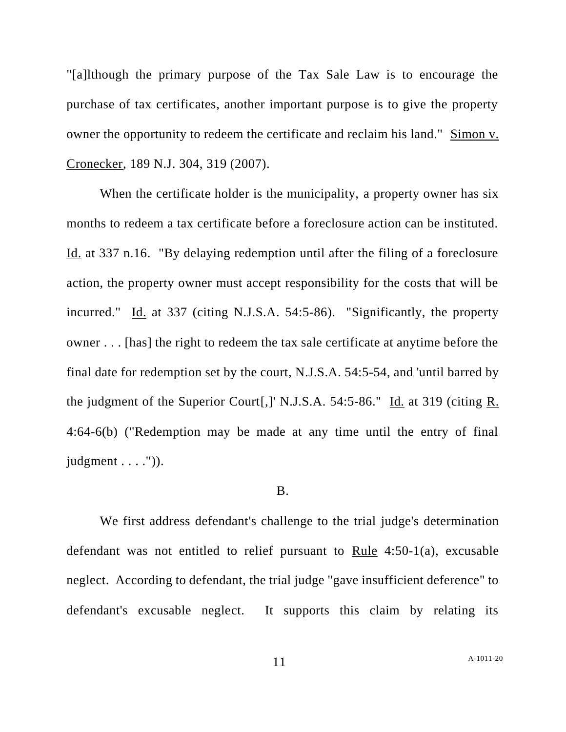"[a]lthough the primary purpose of the Tax Sale Law is to encourage the purchase of tax certificates, another important purpose is to give the property owner the opportunity to redeem the certificate and reclaim his land." Simon v. Cronecker, 189 N.J. 304, 319 (2007).

When the certificate holder is the municipality, a property owner has six months to redeem a tax certificate before a foreclosure action can be instituted. Id. at 337 n.16. "By delaying redemption until after the filing of a foreclosure action, the property owner must accept responsibility for the costs that will be incurred." Id. at 337 (citing N.J.S.A. 54:5-86). "Significantly, the property owner . . . [has] the right to redeem the tax sale certificate at anytime before the final date for redemption set by the court, N.J.S.A. 54:5-54, and 'until barred by the judgment of the Superior Court[,]' N.J.S.A. 54:5-86." Id. at 319 (citing R. 4:64-6(b) ("Redemption may be made at any time until the entry of final judgment  $\dots$  .")).

#### B.

We first address defendant's challenge to the trial judge's determination defendant was not entitled to relief pursuant to Rule 4:50-1(a), excusable neglect. According to defendant, the trial judge "gave insufficient deference" to defendant's excusable neglect. It supports this claim by relating its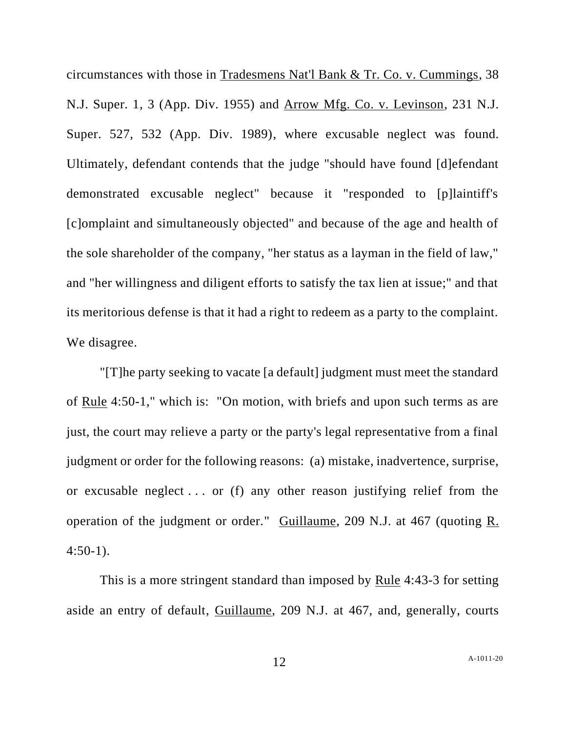circumstances with those in Tradesmens Nat'l Bank & Tr. Co. v. Cummings, 38 N.J. Super. 1, 3 (App. Div. 1955) and Arrow Mfg. Co. v. Levinson, 231 N.J. Super. 527, 532 (App. Div. 1989), where excusable neglect was found. Ultimately, defendant contends that the judge "should have found [d]efendant demonstrated excusable neglect" because it "responded to [p]laintiff's [c]omplaint and simultaneously objected" and because of the age and health of the sole shareholder of the company, "her status as a layman in the field of law," and "her willingness and diligent efforts to satisfy the tax lien at issue;" and that its meritorious defense is that it had a right to redeem as a party to the complaint. We disagree.

"[T]he party seeking to vacate [a default] judgment must meet the standard of Rule 4:50-1," which is: "On motion, with briefs and upon such terms as are just, the court may relieve a party or the party's legal representative from a final judgment or order for the following reasons: (a) mistake, inadvertence, surprise, or excusable neglect . . . or (f) any other reason justifying relief from the operation of the judgment or order." Guillaume, 209 N.J. at 467 (quoting R.  $4:50-1$ ).

This is a more stringent standard than imposed by Rule 4:43-3 for setting aside an entry of default, Guillaume, 209 N.J. at 467, and, generally, courts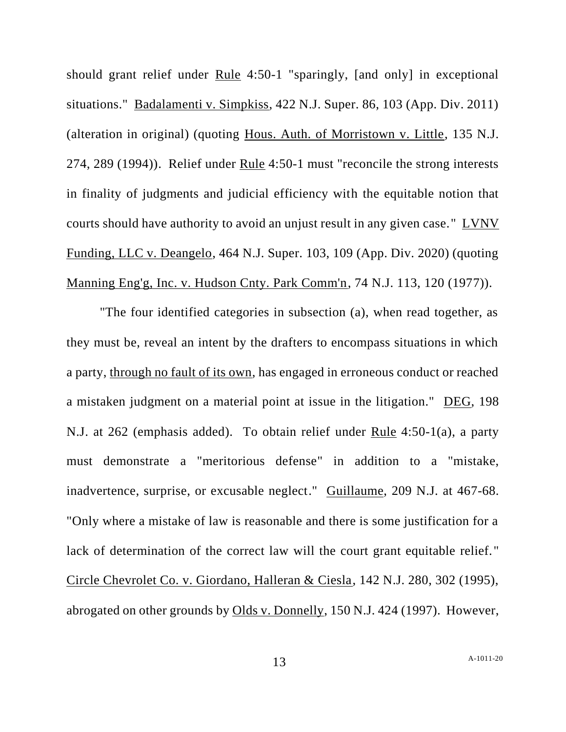should grant relief under Rule 4:50-1 "sparingly, [and only] in exceptional situations." Badalamenti v. Simpkiss, 422 N.J. Super. 86, 103 (App. Div. 2011) (alteration in original) (quoting Hous. Auth. of Morristown v. Little, 135 N.J. 274, 289 (1994)). Relief under Rule 4:50-1 must "reconcile the strong interests in finality of judgments and judicial efficiency with the equitable notion that courts should have authority to avoid an unjust result in any given case." LVNV Funding, LLC v. Deangelo, 464 N.J. Super. 103, 109 (App. Div. 2020) (quoting Manning Eng'g, Inc. v. Hudson Cnty. Park Comm'n, 74 N.J. 113, 120 (1977)).

"The four identified categories in subsection (a), when read together, as they must be, reveal an intent by the drafters to encompass situations in which a party, through no fault of its own, has engaged in erroneous conduct or reached a mistaken judgment on a material point at issue in the litigation." DEG, 198 N.J. at 262 (emphasis added). To obtain relief under Rule 4:50-1(a), a party must demonstrate a "meritorious defense" in addition to a "mistake, inadvertence, surprise, or excusable neglect." Guillaume, 209 N.J. at 467-68. "Only where a mistake of law is reasonable and there is some justification for a lack of determination of the correct law will the court grant equitable relief." Circle Chevrolet Co. v. Giordano, Halleran & Ciesla, 142 N.J. 280, 302 (1995), abrogated on other grounds by Olds v. Donnelly, 150 N.J. 424 (1997). However,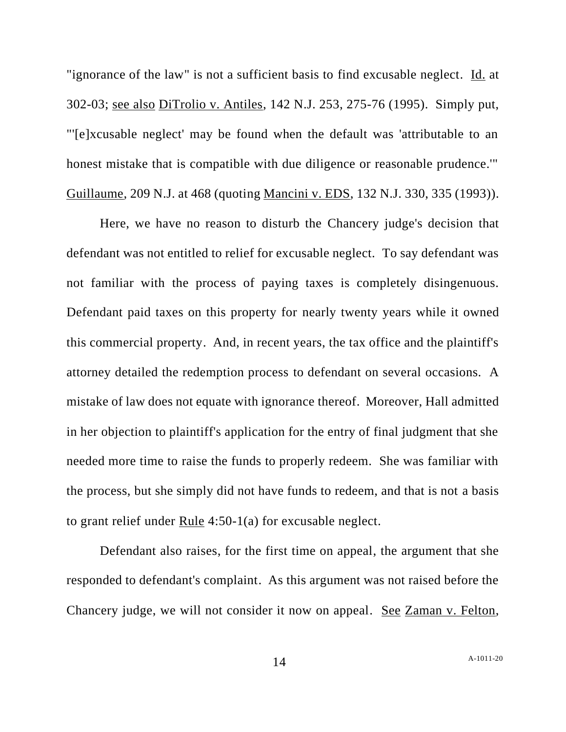"ignorance of the law" is not a sufficient basis to find excusable neglect. Id. at 302-03; see also DiTrolio v. Antiles, 142 N.J. 253, 275-76 (1995). Simply put, "'[e]xcusable neglect' may be found when the default was 'attributable to an honest mistake that is compatible with due diligence or reasonable prudence.'" Guillaume, 209 N.J. at 468 (quoting Mancini v. EDS, 132 N.J. 330, 335 (1993)).

Here, we have no reason to disturb the Chancery judge's decision that defendant was not entitled to relief for excusable neglect. To say defendant was not familiar with the process of paying taxes is completely disingenuous. Defendant paid taxes on this property for nearly twenty years while it owned this commercial property. And, in recent years, the tax office and the plaintiff's attorney detailed the redemption process to defendant on several occasions. A mistake of law does not equate with ignorance thereof. Moreover, Hall admitted in her objection to plaintiff's application for the entry of final judgment that she needed more time to raise the funds to properly redeem. She was familiar with the process, but she simply did not have funds to redeem, and that is not a basis to grant relief under Rule 4:50-1(a) for excusable neglect.

Defendant also raises, for the first time on appeal, the argument that she responded to defendant's complaint. As this argument was not raised before the Chancery judge, we will not consider it now on appeal. See Zaman v. Felton,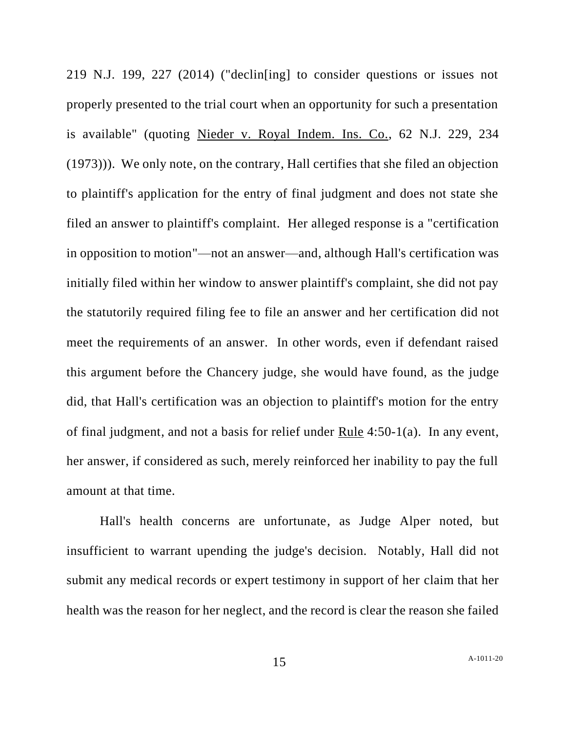219 N.J. 199, 227 (2014) ("declin[ing] to consider questions or issues not properly presented to the trial court when an opportunity for such a presentation is available" (quoting Nieder v. Royal Indem. Ins. Co., 62 N.J. 229, 234 (1973))). We only note, on the contrary, Hall certifies that she filed an objection to plaintiff's application for the entry of final judgment and does not state she filed an answer to plaintiff's complaint. Her alleged response is a "certification in opposition to motion"—not an answer—and, although Hall's certification was initially filed within her window to answer plaintiff's complaint, she did not pay the statutorily required filing fee to file an answer and her certification did not meet the requirements of an answer. In other words, even if defendant raised this argument before the Chancery judge, she would have found, as the judge did, that Hall's certification was an objection to plaintiff's motion for the entry of final judgment, and not a basis for relief under Rule 4:50-1(a). In any event, her answer, if considered as such, merely reinforced her inability to pay the full amount at that time.

Hall's health concerns are unfortunate, as Judge Alper noted, but insufficient to warrant upending the judge's decision. Notably, Hall did not submit any medical records or expert testimony in support of her claim that her health was the reason for her neglect, and the record is clear the reason she failed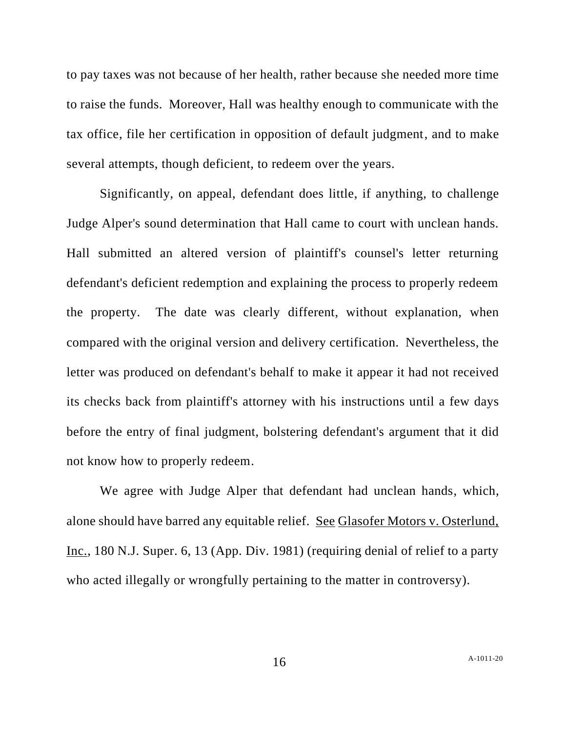to pay taxes was not because of her health, rather because she needed more time to raise the funds. Moreover, Hall was healthy enough to communicate with the tax office, file her certification in opposition of default judgment, and to make several attempts, though deficient, to redeem over the years.

Significantly, on appeal, defendant does little, if anything, to challenge Judge Alper's sound determination that Hall came to court with unclean hands. Hall submitted an altered version of plaintiff's counsel's letter returning defendant's deficient redemption and explaining the process to properly redeem the property. The date was clearly different, without explanation, when compared with the original version and delivery certification. Nevertheless, the letter was produced on defendant's behalf to make it appear it had not received its checks back from plaintiff's attorney with his instructions until a few days before the entry of final judgment, bolstering defendant's argument that it did not know how to properly redeem.

We agree with Judge Alper that defendant had unclean hands, which, alone should have barred any equitable relief. See Glasofer Motors v. Osterlund, Inc., 180 N.J. Super. 6, 13 (App. Div. 1981) (requiring denial of relief to a party who acted illegally or wrongfully pertaining to the matter in controversy).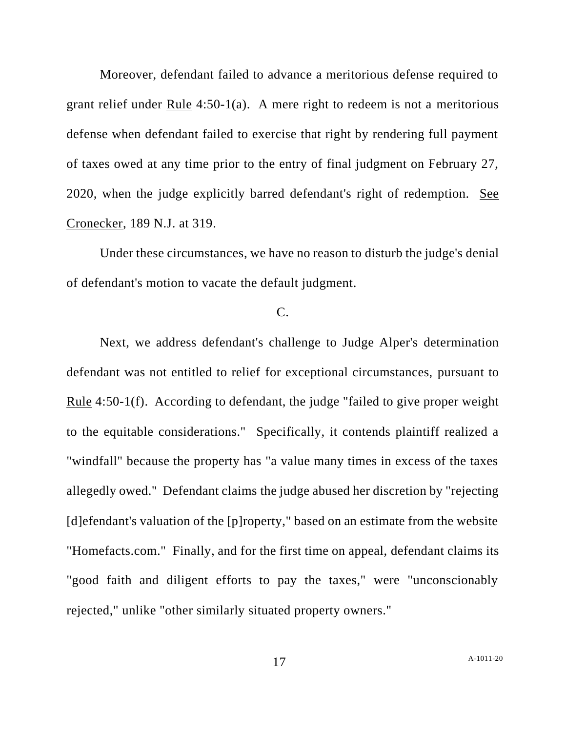Moreover, defendant failed to advance a meritorious defense required to grant relief under Rule 4:50-1(a). A mere right to redeem is not a meritorious defense when defendant failed to exercise that right by rendering full payment of taxes owed at any time prior to the entry of final judgment on February 27, 2020, when the judge explicitly barred defendant's right of redemption. See Cronecker, 189 N.J. at 319.

Under these circumstances, we have no reason to disturb the judge's denial of defendant's motion to vacate the default judgment.

## C.

Next, we address defendant's challenge to Judge Alper's determination defendant was not entitled to relief for exceptional circumstances, pursuant to Rule 4:50-1(f). According to defendant, the judge "failed to give proper weight to the equitable considerations." Specifically, it contends plaintiff realized a "windfall" because the property has "a value many times in excess of the taxes allegedly owed." Defendant claims the judge abused her discretion by "rejecting [d]efendant's valuation of the [p]roperty," based on an estimate from the website "Homefacts.com." Finally, and for the first time on appeal, defendant claims its "good faith and diligent efforts to pay the taxes," were "unconscionably rejected," unlike "other similarly situated property owners."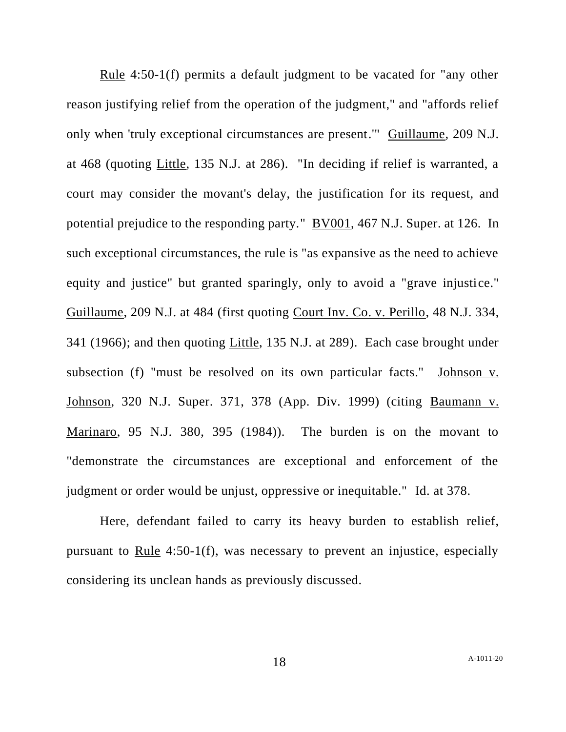Rule 4:50-1(f) permits a default judgment to be vacated for "any other reason justifying relief from the operation of the judgment," and "affords relief only when 'truly exceptional circumstances are present.'" Guillaume, 209 N.J. at 468 (quoting Little, 135 N.J. at 286). "In deciding if relief is warranted, a court may consider the movant's delay, the justification for its request, and potential prejudice to the responding party." BV001, 467 N.J. Super. at 126. In such exceptional circumstances, the rule is "as expansive as the need to achieve equity and justice" but granted sparingly, only to avoid a "grave injustice." Guillaume, 209 N.J. at 484 (first quoting Court Inv. Co. v. Perillo, 48 N.J. 334, 341 (1966); and then quoting Little, 135 N.J. at 289). Each case brought under subsection (f) "must be resolved on its own particular facts." Johnson v. Johnson, 320 N.J. Super. 371, 378 (App. Div. 1999) (citing Baumann v. Marinaro, 95 N.J. 380, 395 (1984)). The burden is on the movant to "demonstrate the circumstances are exceptional and enforcement of the judgment or order would be unjust, oppressive or inequitable." Id. at 378.

Here, defendant failed to carry its heavy burden to establish relief, pursuant to Rule 4:50-1(f), was necessary to prevent an injustice, especially considering its unclean hands as previously discussed.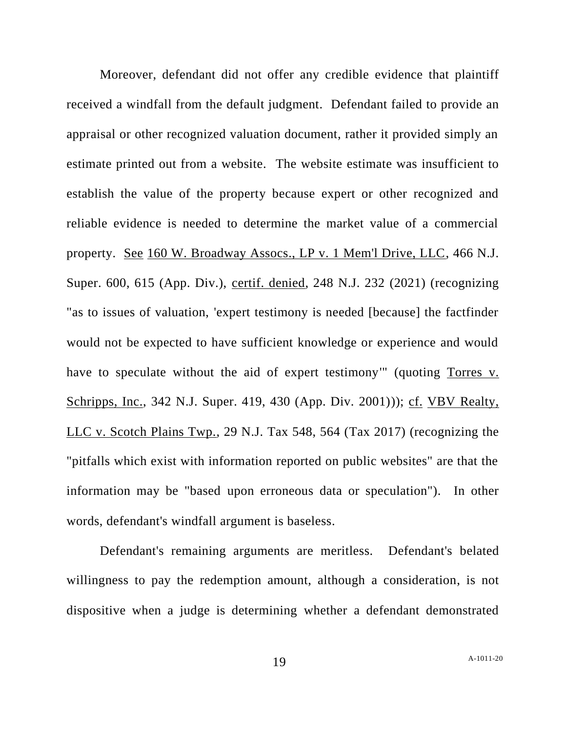Moreover, defendant did not offer any credible evidence that plaintiff received a windfall from the default judgment. Defendant failed to provide an appraisal or other recognized valuation document, rather it provided simply an estimate printed out from a website. The website estimate was insufficient to establish the value of the property because expert or other recognized and reliable evidence is needed to determine the market value of a commercial property. See 160 W. Broadway Assocs., LP v. 1 Mem'l Drive, LLC, 466 N.J. Super. 600, 615 (App. Div.), certif. denied, 248 N.J. 232 (2021) (recognizing "as to issues of valuation, 'expert testimony is needed [because] the factfinder would not be expected to have sufficient knowledge or experience and would have to speculate without the aid of expert testimony'" (quoting Torres v. Schripps, Inc., 342 N.J. Super. 419, 430 (App. Div. 2001))); cf. VBV Realty, LLC v. Scotch Plains Twp., 29 N.J. Tax 548, 564 (Tax 2017) (recognizing the "pitfalls which exist with information reported on public websites" are that the information may be "based upon erroneous data or speculation"). In other words, defendant's windfall argument is baseless.

Defendant's remaining arguments are meritless. Defendant's belated willingness to pay the redemption amount, although a consideration, is not dispositive when a judge is determining whether a defendant demonstrated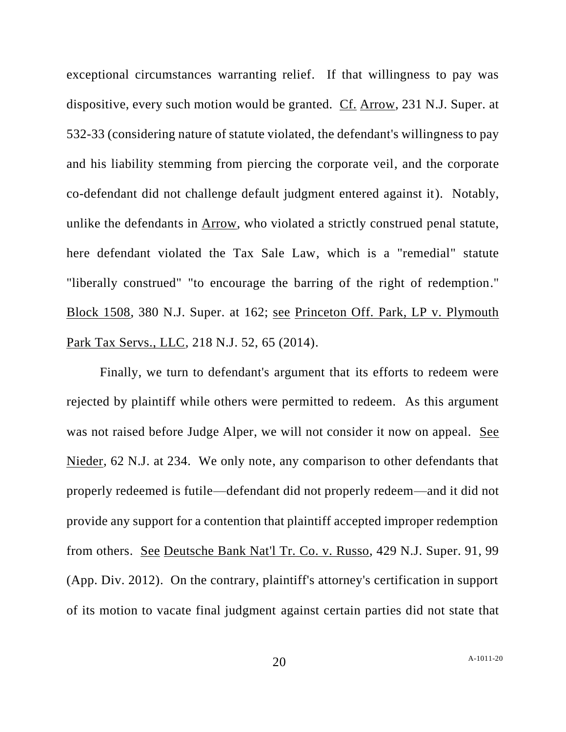exceptional circumstances warranting relief. If that willingness to pay was dispositive, every such motion would be granted. Cf. Arrow, 231 N.J. Super. at 532-33 (considering nature of statute violated, the defendant's willingness to pay and his liability stemming from piercing the corporate veil, and the corporate co-defendant did not challenge default judgment entered against it). Notably, unlike the defendants in Arrow, who violated a strictly construed penal statute, here defendant violated the Tax Sale Law, which is a "remedial" statute "liberally construed" "to encourage the barring of the right of redemption." Block 1508, 380 N.J. Super. at 162; see Princeton Off. Park, LP v. Plymouth Park Tax Servs., LLC, 218 N.J. 52, 65 (2014).

Finally, we turn to defendant's argument that its efforts to redeem were rejected by plaintiff while others were permitted to redeem. As this argument was not raised before Judge Alper, we will not consider it now on appeal. See Nieder, 62 N.J. at 234. We only note, any comparison to other defendants that properly redeemed is futile—defendant did not properly redeem—and it did not provide any support for a contention that plaintiff accepted improper redemption from others. See Deutsche Bank Nat'l Tr. Co. v. Russo, 429 N.J. Super. 91, 99 (App. Div. 2012). On the contrary, plaintiff's attorney's certification in support of its motion to vacate final judgment against certain parties did not state that